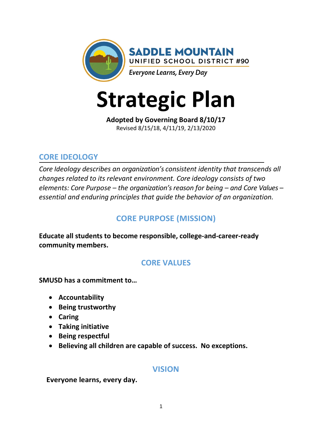

# **Strategic Plan**

**Adopted by Governing Board 8/10/17** Revised 8/15/18, 4/11/19, 2/13/2020

### **CORE IDEOLOGY**

*Core Ideology describes an organization's consistent identity that transcends all changes related to its relevant environment. Core ideology consists of two elements: Core Purpose – the organization's reason for being – and Core Values – essential and enduring principles that guide the behavior of an organization.*

# **CORE PURPOSE (MISSION)**

**Educate all students to become responsible, college-and-career-ready community members.**

## **CORE VALUES**

**SMUSD has a commitment to…**

- **Accountability**
- **Being trustworthy**
- **Caring**
- **Taking initiative**
- **Being respectful**
- **Believing all children are capable of success. No exceptions.**

#### **VISION**

**Everyone learns, every day.**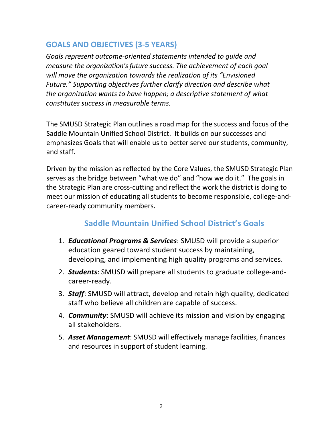## **GOALS AND OBJECTIVES (3-5 YEARS)**

*Goals represent outcome-oriented statements intended to guide and measure the organization's future success. The achievement of each goal will move the organization towards the realization of its "Envisioned Future." Supporting objectives further clarify direction and describe what the organization wants to have happen; a descriptive statement of what constitutes success in measurable terms.*

The SMUSD Strategic Plan outlines a road map for the success and focus of the Saddle Mountain Unified School District. It builds on our successes and emphasizes Goals that will enable us to better serve our students, community, and staff.

Driven by the mission as reflected by the Core Values, the SMUSD Strategic Plan serves as the bridge between "what we do" and "how we do it." The goals in the Strategic Plan are cross-cutting and reflect the work the district is doing to meet our mission of educating all students to become responsible, college-andcareer-ready community members.

# **Saddle Mountain Unified School District's Goals**

- 1. *Educational Programs & Services*: SMUSD will provide a superior education geared toward student success by maintaining, developing, and implementing high quality programs and services.
- 2. *Students*: SMUSD will prepare all students to graduate college-andcareer-ready.
- 3. *Staff*: SMUSD will attract, develop and retain high quality, dedicated staff who believe all children are capable of success.
- 4. *Community*: SMUSD will achieve its mission and vision by engaging all stakeholders.
- 5. *Asset Management*: SMUSD will effectively manage facilities, finances and resources in support of student learning.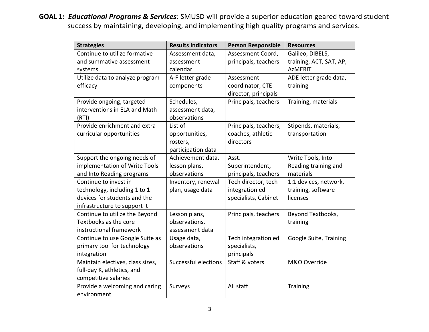**GOAL 1:** *Educational Programs & Services*: SMUSD will provide a superior education geared toward student success by maintaining, developing, and implementing high quality programs and services.

| <b>Strategies</b>                | <b>Results Indicators</b> | <b>Person Responsible</b> | <b>Resources</b>        |
|----------------------------------|---------------------------|---------------------------|-------------------------|
| Continue to utilize formative    | Assessment data,          | Assessment Coord,         | Galileo, DIBELS,        |
| and summative assessment         | assessment                | principals, teachers      | training, ACT, SAT, AP, |
| systems                          | calendar                  |                           | <b>AzMERIT</b>          |
| Utilize data to analyze program  | A-F letter grade          | Assessment                | ADE letter grade data,  |
| efficacy                         | components                | coordinator, CTE          | training                |
|                                  |                           | director, principals      |                         |
| Provide ongoing, targeted        | Schedules,                | Principals, teachers      | Training, materials     |
| interventions in ELA and Math    | assessment data,          |                           |                         |
| (RTI)                            | observations              |                           |                         |
| Provide enrichment and extra     | List of                   | Principals, teachers,     | Stipends, materials,    |
| curricular opportunities         | opportunities,            | coaches, athletic         | transportation          |
|                                  | rosters,                  | directors                 |                         |
|                                  | participation data        |                           |                         |
| Support the ongoing needs of     | Achievement data,         | Asst.                     | Write Tools, Into       |
| implementation of Write Tools    | lesson plans,             | Superintendent,           | Reading training and    |
| and Into Reading programs        | observations              | principals, teachers      | materials               |
| Continue to invest in            | Inventory, renewal        | Tech director, tech       | 1:1 devices, network,   |
| technology, including 1 to 1     | plan, usage data          | integration ed            | training, software      |
| devices for students and the     |                           | specialists, Cabinet      | licenses                |
| infrastructure to support it     |                           |                           |                         |
| Continue to utilize the Beyond   | Lesson plans,             | Principals, teachers      | Beyond Textbooks,       |
| Textbooks as the core            | observations,             |                           | training                |
| instructional framework          | assessment data           |                           |                         |
| Continue to use Google Suite as  | Usage data,               | Tech integration ed       | Google Suite, Training  |
| primary tool for technology      | observations              | specialists,              |                         |
| integration                      |                           | principals                |                         |
| Maintain electives, class sizes, | Successful elections      | Staff & voters            | M&O Override            |
| full-day K, athletics, and       |                           |                           |                         |
| competitive salaries             |                           |                           |                         |
| Provide a welcoming and caring   | Surveys                   | All staff                 | <b>Training</b>         |
| environment                      |                           |                           |                         |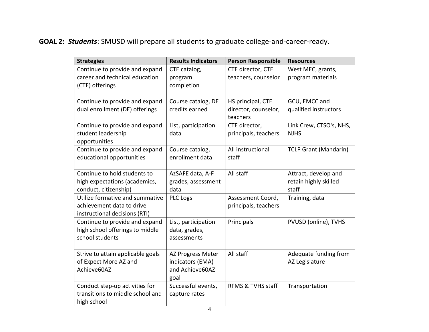**GOAL 2:** *Students*: SMUSD will prepare all students to graduate college-and-career-ready.

| <b>Strategies</b>                                      | <b>Results Indicators</b>  | <b>Person Responsible</b>        | <b>Resources</b>               |
|--------------------------------------------------------|----------------------------|----------------------------------|--------------------------------|
| Continue to provide and expand                         | CTE catalog,               | CTE director, CTE                | West MEC, grants,              |
| career and technical education                         | program                    | teachers, counselor              | program materials              |
| (CTE) offerings                                        | completion                 |                                  |                                |
|                                                        |                            |                                  |                                |
| Continue to provide and expand                         | Course catalog, DE         | HS principal, CTE                | GCU, EMCC and                  |
| dual enrollment (DE) offerings                         | credits earned             | director, counselor,<br>teachers | qualified instructors          |
| Continue to provide and expand                         | List, participation        | CTE director,                    | Link Crew, CTSO's, NHS,        |
| student leadership                                     | data                       | principals, teachers             | <b>NJHS</b>                    |
| opportunities                                          |                            |                                  |                                |
| Continue to provide and expand                         | Course catalog,            | All instructional                | <b>TCLP Grant (Mandarin)</b>   |
| educational opportunities                              | enrollment data            | staff                            |                                |
|                                                        |                            |                                  |                                |
| Continue to hold students to                           | AzSAFE data, A-F           | All staff                        | Attract, develop and           |
| high expectations (academics,<br>conduct, citizenship) | grades, assessment<br>data |                                  | retain highly skilled<br>staff |
| Utilize formative and summative                        | <b>PLC Logs</b>            | Assessment Coord,                |                                |
| achievement data to drive                              |                            | principals, teachers             | Training, data                 |
| instructional decisions (RTI)                          |                            |                                  |                                |
| Continue to provide and expand                         | List, participation        | Principals                       | PVUSD (online), TVHS           |
| high school offerings to middle                        | data, grades,              |                                  |                                |
| school students                                        | assessments                |                                  |                                |
|                                                        |                            |                                  |                                |
| Strive to attain applicable goals                      | AZ Progress Meter          | All staff                        | Adequate funding from          |
| of Expect More AZ and                                  | indicators (EMA)           |                                  | AZ Legislature                 |
| Achieve60AZ                                            | and Achieve60AZ            |                                  |                                |
|                                                        | goal                       |                                  |                                |
| Conduct step-up activities for                         | Successful events,         | RFMS & TVHS staff                | Transportation                 |
| transitions to middle school and                       | capture rates              |                                  |                                |
| high school                                            |                            |                                  |                                |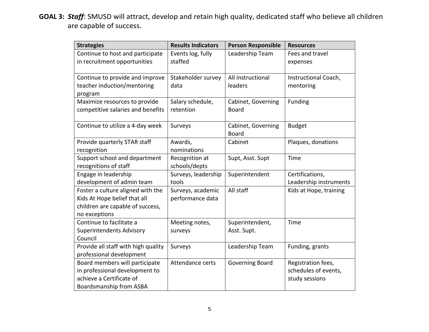**GOAL 3:** *Staff*: SMUSD will attract, develop and retain high quality, dedicated staff who believe all children are capable of success.

| <b>Strategies</b>                   | <b>Results Indicators</b> | <b>Person Responsible</b> | <b>Resources</b>       |
|-------------------------------------|---------------------------|---------------------------|------------------------|
| Continue to host and participate    | Events log, fully         | Leadership Team           | Fees and travel        |
| in recruitment opportunities        | staffed                   |                           | expenses               |
|                                     |                           |                           |                        |
| Continue to provide and improve     | Stakeholder survey        | All instructional         | Instructional Coach,   |
| teacher induction/mentoring         | data                      | leaders                   | mentoring              |
| program                             |                           |                           |                        |
| Maximize resources to provide       | Salary schedule,          | Cabinet, Governing        | Funding                |
| competitive salaries and benefits   | retention                 | <b>Board</b>              |                        |
|                                     |                           |                           |                        |
| Continue to utilize a 4-day week    | Surveys                   | Cabinet, Governing        | <b>Budget</b>          |
|                                     |                           | <b>Board</b>              |                        |
| Provide quarterly STAR staff        | Awards,                   | Cabinet                   | Plaques, donations     |
| recognition                         | nominations               |                           |                        |
| Support school and department       | Recognition at            | Supt, Asst. Supt          | Time                   |
| recognitions of staff               | schools/depts             |                           |                        |
| Engage in leadership                | Surveys, leadership       | Superintendent            | Certifications,        |
| development of admin team           | tools                     |                           | Leadership instruments |
| Foster a culture aligned with the   | Surveys, academic         | All staff                 | Kids at Hope, training |
| Kids At Hope belief that all        | performance data          |                           |                        |
| children are capable of success,    |                           |                           |                        |
| no exceptions                       |                           |                           |                        |
| Continue to facilitate a            | Meeting notes,            | Superintendent,           | Time                   |
| <b>Superintendents Advisory</b>     | surveys                   | Asst. Supt.               |                        |
| Council                             |                           |                           |                        |
| Provide all staff with high quality | Surveys                   | Leadership Team           | Funding, grants        |
| professional development            |                           |                           |                        |
| Board members will participate      | Attendance certs          | <b>Governing Board</b>    | Registration fees,     |
| in professional development to      |                           |                           | schedules of events,   |
| achieve a Certificate of            |                           |                           | study sessions         |
| Boardsmanship from ASBA             |                           |                           |                        |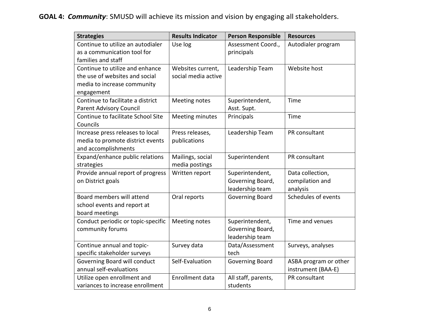# **GOAL 4:** *Community*: SMUSD will achieve its mission and vision by engaging all stakeholders.

| <b>Strategies</b>                                 | <b>Results Indicator</b> | <b>Person Responsible</b> | <b>Resources</b>      |
|---------------------------------------------------|--------------------------|---------------------------|-----------------------|
| Continue to utilize an autodialer                 | Use log                  | Assessment Coord.,        | Autodialer program    |
| as a communication tool for<br>families and staff |                          | principals                |                       |
| Continue to utilize and enhance                   | Websites current,        | Leadership Team           | Website host          |
| the use of websites and social                    | social media active      |                           |                       |
| media to increase community                       |                          |                           |                       |
| engagement                                        |                          |                           |                       |
| Continue to facilitate a district                 | Meeting notes            | Superintendent,           | Time                  |
| <b>Parent Advisory Council</b>                    |                          | Asst. Supt.               |                       |
| Continue to facilitate School Site                | Meeting minutes          | Principals                | Time                  |
| Councils                                          |                          |                           |                       |
| Increase press releases to local                  | Press releases,          | Leadership Team           | PR consultant         |
| media to promote district events                  | publications             |                           |                       |
| and accomplishments                               |                          |                           |                       |
| Expand/enhance public relations                   | Mailings, social         | Superintendent            | PR consultant         |
| strategies                                        | media postings           |                           |                       |
| Provide annual report of progress                 | Written report           | Superintendent,           | Data collection,      |
| on District goals                                 |                          | Governing Board,          | compilation and       |
|                                                   |                          | leadership team           | analysis              |
| Board members will attend                         | Oral reports             | <b>Governing Board</b>    | Schedules of events   |
| school events and report at                       |                          |                           |                       |
| board meetings                                    |                          |                           |                       |
| Conduct periodic or topic-specific                | Meeting notes            | Superintendent,           | Time and venues       |
| community forums                                  |                          | Governing Board,          |                       |
|                                                   |                          | leadership team           |                       |
| Continue annual and topic-                        | Survey data              | Data/Assessment           | Surveys, analyses     |
| specific stakeholder surveys                      |                          | tech                      |                       |
| Governing Board will conduct                      | Self-Evaluation          | Governing Board           | ASBA program or other |
| annual self-evaluations                           |                          |                           | instrument (BAA-E)    |
| Utilize open enrollment and                       | Enrollment data          | All staff, parents,       | PR consultant         |
| variances to increase enrollment                  |                          | students                  |                       |